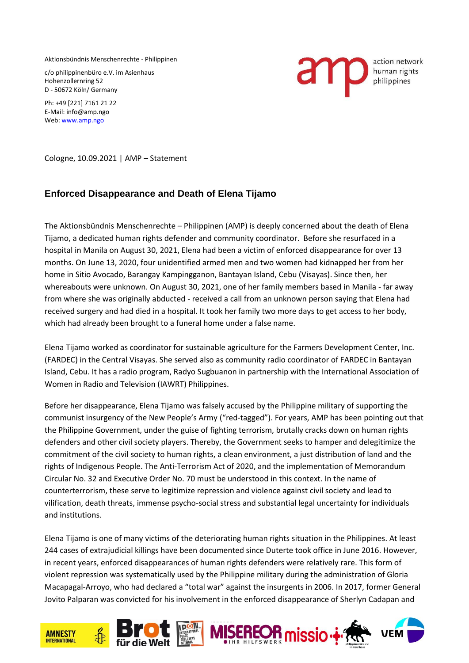Aktionsbündnis Menschenrechte - Philippinen

c/o philippinenbüro e.V. im Asienhaus Hohenzollernring 52 D - 50672 Köln/ Germany

Ph: +49 [221] 7161 21 22 E-Mail: info@amp.ngo Web[: www.amp.ngo](http://www.amp.ngo/)



Cologne, 10.09.2021 | AMP – Statement

## **Enforced Disappearance and Death of Elena Tijamo**

The Aktionsbündnis Menschenrechte – Philippinen (AMP) is deeply concerned about the death of Elena Tijamo, a dedicated human rights defender and community coordinator. Before she resurfaced in a hospital in Manila on August 30, 2021, Elena had been a victim of enforced disappearance for over 13 months. On June 13, 2020, four unidentified armed men and two women had kidnapped her from her home in Sitio Avocado, Barangay Kampingganon, Bantayan Island, Cebu (Visayas). Since then, her whereabouts were unknown. On August 30, 2021, one of her family members based in Manila - far away from where she was originally abducted - received a call from an unknown person saying that Elena had received surgery and had died in a hospital. It took her family two more days to get access to her body, which had already been brought to a funeral home under a false name.

Elena Tijamo worked as coordinator for sustainable agriculture for the Farmers Development Center, Inc. (FARDEC) in the Central Visayas. She served also as community radio coordinator of FARDEC in Bantayan Island, Cebu. It has a radio program, Radyo Sugbuanon in partnership with the International Association of Women in Radio and Television (IAWRT) Philippines.

Before her disappearance, Elena Tijamo was falsely accused by the Philippine military of supporting the communist insurgency of the New People's Army ("red-tagged"). For years, AMP has been pointing out that the Philippine Government, under the guise of fighting terrorism, brutally cracks down on human rights defenders and other civil society players. Thereby, the Government seeks to hamper and delegitimize the commitment of the civil society to human rights, a clean environment, a just distribution of land and the rights of Indigenous People. The Anti-Terrorism Act of 2020, and the implementation of Memorandum Circular No. 32 and Executive Order No. 70 must be understood in this context. In the name of counterterrorism, these serve to legitimize repression and violence against civil society and lead to vilification, death threats, immense psycho-social stress and substantial legal uncertainty for individuals and institutions.

Elena Tijamo is one of many victims of the deteriorating human rights situation in the Philippines. At least 244 cases of extrajudicial killings have been documented since Duterte took office in June 2016. However, in recent years, enforced disappearances of human rights defenders were relatively rare. This form of violent repression was systematically used by the Philippine military during the administration of Gloria Macapagal-Arroyo, who had declared a "total war" against the insurgents in 2006. In 2017, former General Jovito Palparan was convicted for his involvement in the enforced disappearance of Sherlyn Cadapan and